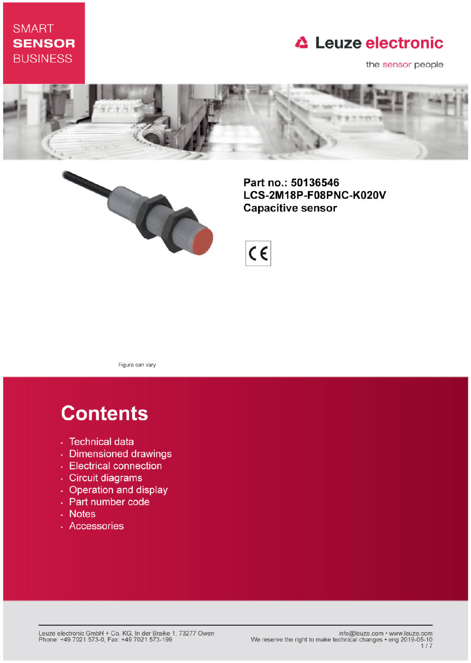## **SMART SENSOR BUSINESS**

## **△ Leuze electronic**

the sensor people





Part no.: 50136546 LCS-2M18P-F08PNC-K020V **Capacitive sensor** 



Figure can vary

# **Contents**

- · Technical data
- · Dimensioned drawings
- Electrical connection
- · Circuit diagrams
- Operation and display
- Part number code
- Notes
- · Accessories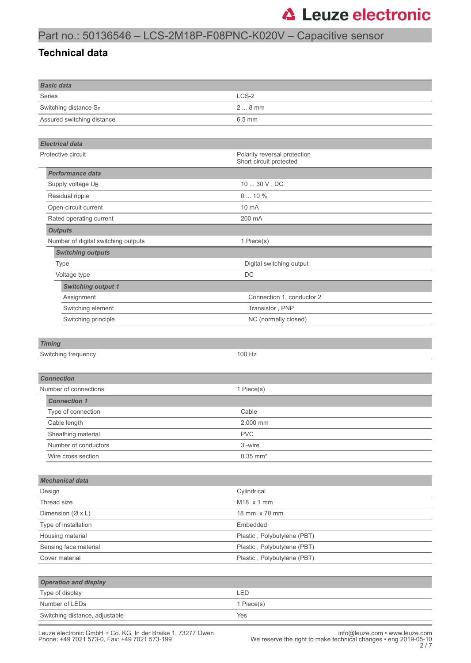## Part no.: 50136546 – LCS-2M18P-F08PNC-K020V – Capacitive sensor

#### **Technical data**

| <b>Basic data</b>                   |                                                         |  |  |  |
|-------------------------------------|---------------------------------------------------------|--|--|--|
| Series                              | LCS-2                                                   |  |  |  |
| Switching distance S <sub>n</sub>   | $28$ mm                                                 |  |  |  |
| Assured switching distance          | $6.5$ mm                                                |  |  |  |
|                                     |                                                         |  |  |  |
| <b>Electrical data</b>              |                                                         |  |  |  |
| Protective circuit                  | Polarity reversal protection<br>Short circuit protected |  |  |  |
| Performance data                    |                                                         |  |  |  |
| Supply voltage UB                   | $10 \ldots 30$ V , DC                                   |  |  |  |
| Residual ripple                     | 010%                                                    |  |  |  |
| Open-circuit current                | 10 mA                                                   |  |  |  |
| Rated operating current             | 200 mA                                                  |  |  |  |
| <b>Outputs</b>                      |                                                         |  |  |  |
| Number of digital switching outputs | 1 Piece(s)                                              |  |  |  |
| <b>Switching outputs</b>            |                                                         |  |  |  |
| <b>Type</b>                         | Digital switching output                                |  |  |  |
| Voltage type                        | DC                                                      |  |  |  |
| <b>Switching output 1</b>           |                                                         |  |  |  |
| Assignment                          | Connection 1, conductor 2                               |  |  |  |
| Switching element                   | Transistor, PNP                                         |  |  |  |
| Switching principle                 | NC (normally closed)                                    |  |  |  |
|                                     |                                                         |  |  |  |
| <b>Timing</b>                       |                                                         |  |  |  |
| Switching frequency                 | 100 Hz                                                  |  |  |  |
|                                     |                                                         |  |  |  |
| <b>Connection</b>                   |                                                         |  |  |  |
| Number of connections               | 1 Piece(s)                                              |  |  |  |
| <b>Connection 1</b>                 |                                                         |  |  |  |
| Type of connection                  |                                                         |  |  |  |
| Cable length                        | Cable                                                   |  |  |  |
| Sheathing material                  | 2.000 mm                                                |  |  |  |
| Number of conductors                | <b>PVC</b>                                              |  |  |  |
|                                     | 3-wire                                                  |  |  |  |
| Wire cross section                  | $0.35$ mm <sup>2</sup>                                  |  |  |  |
|                                     |                                                         |  |  |  |
| <b>Mechanical data</b>              |                                                         |  |  |  |
| Design<br>Thread size               | Cylindrical                                             |  |  |  |
|                                     | M18 x 1 mm                                              |  |  |  |
| Dimension $(\emptyset \times L)$    | 18 mm x 70 mm                                           |  |  |  |
| Type of installation                | Embedded                                                |  |  |  |
| Housing material                    | Plastic, Polybutylene (PBT)                             |  |  |  |
| Sensing face material               | Plastic, Polybutylene (PBT)                             |  |  |  |
| Cover material                      | Plastic, Polybutylene (PBT)                             |  |  |  |
|                                     |                                                         |  |  |  |
| <b>Operation and display</b>        |                                                         |  |  |  |
| Type of display                     | LED                                                     |  |  |  |
| Number of LEDs                      | 1 Piece(s)                                              |  |  |  |
| Switching distance, adjustable      | Yes                                                     |  |  |  |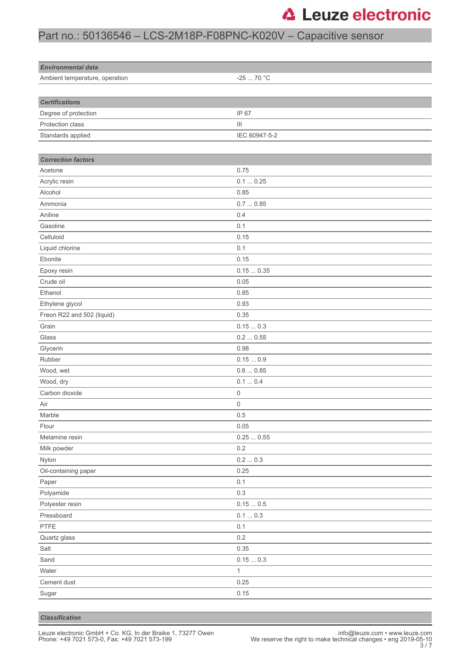## Part no.: 50136546 – LCS-2M18P-F08PNC-K020V – Capacitive sensor

| <b>Environmental data</b>      |                                    |  |
|--------------------------------|------------------------------------|--|
| Ambient temperature, operation | -25  70 °C                         |  |
|                                |                                    |  |
| <b>Certifications</b>          |                                    |  |
| Degree of protection           | IP 67                              |  |
| Protection class               | $\ensuremath{\mathsf{III}}\xspace$ |  |
| Standards applied              | IEC 60947-5-2                      |  |
|                                |                                    |  |
| <b>Correction factors</b>      |                                    |  |
| Acetone                        | 0.75                               |  |
| Acrylic resin                  | 0.10.25                            |  |
| Alcohol                        | 0.85                               |  |
| Ammonia                        | 0.70.85                            |  |
| Aniline                        | 0.4                                |  |
| Gasoline                       | 0.1                                |  |
| Celluloid                      | 0.15                               |  |
| Liquid chlorine                | 0.1                                |  |
| Ebonite                        | 0.15                               |  |
| Epoxy resin                    | 0.150.35                           |  |
| Crude oil                      | 0.05                               |  |
| Ethanol                        | 0.85                               |  |
| Ethylene glycol                | 0.93                               |  |
| Freon R22 and 502 (liquid)     | 0.35                               |  |
| Grain                          | 0.150.3                            |  |
| Glass                          | 0.20.55                            |  |
| Glycerin                       | 0.98                               |  |
| Rubber                         | 0.150.9                            |  |
| Wood, wet                      | 0.60.85                            |  |
| Wood, dry                      | 0.10.4                             |  |
| Carbon dioxide                 | 0                                  |  |
| Air                            | 0                                  |  |
| Marble                         | 0.5                                |  |
| Flour                          | 0.05                               |  |
| Melamine resin                 | $0.25\,\ldots\,0.55$               |  |
| Milk powder                    | $0.2\,$                            |  |
| Nylon                          | 0.20.3                             |  |
| Oil-containing paper           | 0.25                               |  |
| Paper                          | 0.1                                |  |
| Polyamide                      | 0.3                                |  |
| Polyester resin                | $0.15\ldots 0.5$                   |  |
| Pressboard                     | $0.1 \dots 0.3$                    |  |
| PTFE                           | 0.1                                |  |
| Quartz glass                   | $0.2\,$                            |  |
| Salt                           | 0.35                               |  |
| Sand                           | 0.150.3                            |  |
| Water                          | $\mathbf{1}$                       |  |
| Cement dust                    | 0.25                               |  |
| Sugar                          | 0.15                               |  |
|                                |                                    |  |

*Classification*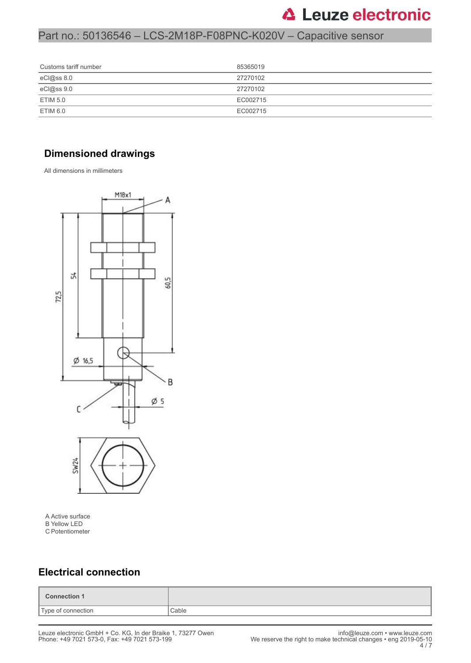## Part no.: 50136546 – LCS-2M18P-F08PNC-K020V – Capacitive sensor

| Customs tariff number | 85365019 |
|-----------------------|----------|
| eCl@ss 8.0            | 27270102 |
| eCl@ss 9.0            | 27270102 |
| <b>ETIM 5.0</b>       | EC002715 |
| ETIM 6.0              | EC002715 |

### **Dimensioned drawings**

All dimensions in millimeters



A Active surface B Yellow LED C Potentiometer

### **Electrical connection**

| <b>Connection 1</b>         |  |
|-----------------------------|--|
| Type of connection<br>Cable |  |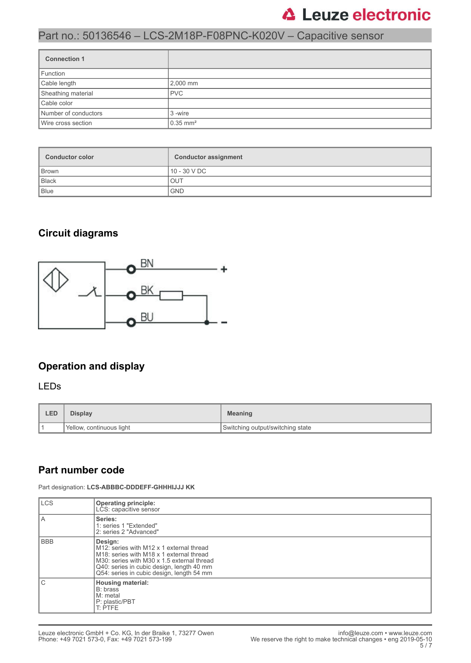## Part no.: 50136546 – LCS-2M18P-F08PNC-K020V – Capacitive sensor

| <b>Connection 1</b>  |                        |
|----------------------|------------------------|
| Function             |                        |
| Cable length         | 2,000 mm               |
| Sheathing material   | <b>PVC</b>             |
| Cable color          |                        |
| Number of conductors | 3 -wire                |
| Wire cross section   | $0.35$ mm <sup>2</sup> |

| <b>Conductor color</b> | <b>Conductor assignment</b> |  |
|------------------------|-----------------------------|--|
| Brown                  | 10 - 30 V DC                |  |
| Black                  | <b>OUT</b>                  |  |
| Blue                   | <b>GND</b>                  |  |

### **Circuit diagrams**



### **Operation and display**

#### LEDs

| LED | <b>Display</b>           | <b>Meaning</b>                   |  |
|-----|--------------------------|----------------------------------|--|
|     | Yellow, continuous light | Switching output/switching state |  |

#### **Part number code**

Part designation: **LCS-ABBBC-DDDEFF-GHHHIJJJ KK**

| <b>LCS</b> | <b>Operating principle:</b><br>LCS: capacitive sensor                                                                                                                                                                                                            |
|------------|------------------------------------------------------------------------------------------------------------------------------------------------------------------------------------------------------------------------------------------------------------------|
| ΙA         | Series:<br>1: series 1 "Extended"<br>2: series 2 "Advanced"                                                                                                                                                                                                      |
| l BBB      | Design:<br>M12: series with M12 x 1 external thread<br>M <sub>18</sub> : series with M <sub>18</sub> x 1 external thread<br>M30: series with M30 x 1.5 external thread<br>Q40: series in cubic design, length 40 mm<br>Q54: series in cubic design, length 54 mm |
| l C        | <b>Housing material:</b><br>B: brass<br>M: metal<br>P: plastic/PBT<br>T: PTFE                                                                                                                                                                                    |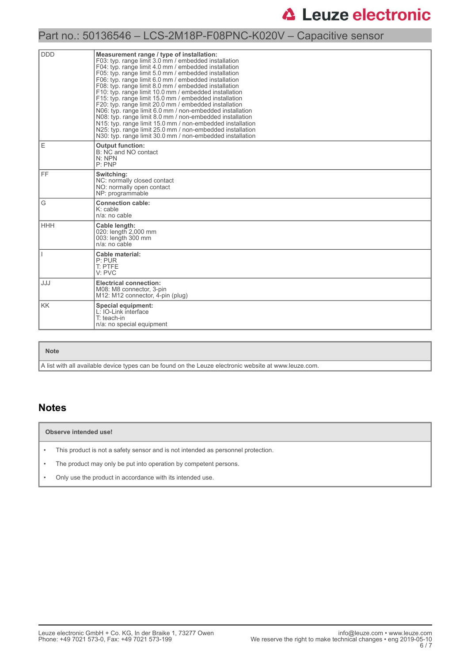## Part no.: 50136546 – LCS-2M18P-F08PNC-K020V – Capacitive sensor

| <b>DDD</b> | Measurement range / type of installation:<br>F03: typ. range limit 3.0 mm / embedded installation<br>F04: typ. range limit 4.0 mm / embedded installation<br>F05: typ. range limit 5.0 mm / embedded installation<br>F06: typ. range limit 6.0 mm / embedded installation<br>F08: typ. range limit 8.0 mm / embedded installation<br>F10: typ. range limit 10.0 mm / embedded installation<br>F15: typ. range limit 15.0 mm / embedded installation<br>F20: typ. range limit 20.0 mm / embedded installation<br>N06: typ. range limit 6.0 mm / non-embedded installation<br>N08: typ. range limit 8.0 mm / non-embedded installation<br>N15: typ. range limit 15.0 mm / non-embedded installation<br>N25: typ. range limit 25.0 mm / non-embedded installation<br>N30: typ. range limit 30.0 mm / non-embedded installation |
|------------|-----------------------------------------------------------------------------------------------------------------------------------------------------------------------------------------------------------------------------------------------------------------------------------------------------------------------------------------------------------------------------------------------------------------------------------------------------------------------------------------------------------------------------------------------------------------------------------------------------------------------------------------------------------------------------------------------------------------------------------------------------------------------------------------------------------------------------|
| E          | <b>Output function:</b><br>B: NC and NO contact<br>N: NPN<br>P: PNP                                                                                                                                                                                                                                                                                                                                                                                                                                                                                                                                                                                                                                                                                                                                                         |
| FF.        | Switching:<br>NC: normally closed contact<br>NO: normally open contact<br>NP: programmable                                                                                                                                                                                                                                                                                                                                                                                                                                                                                                                                                                                                                                                                                                                                  |
| G          | <b>Connection cable:</b><br>K: cable<br>n/a: no cable                                                                                                                                                                                                                                                                                                                                                                                                                                                                                                                                                                                                                                                                                                                                                                       |
| <b>HHH</b> | Cable length:<br>020: length 2,000 mm<br>003: length 300 mm<br>n/a: no cable                                                                                                                                                                                                                                                                                                                                                                                                                                                                                                                                                                                                                                                                                                                                                |
|            | Cable material:<br>P: PUR<br>T: PTFE<br>V: PVC                                                                                                                                                                                                                                                                                                                                                                                                                                                                                                                                                                                                                                                                                                                                                                              |
| JJJ        | <b>Electrical connection:</b><br>M08: M8 connector, 3-pin<br>M12: M12 connector, 4-pin (plug)                                                                                                                                                                                                                                                                                                                                                                                                                                                                                                                                                                                                                                                                                                                               |
| <b>KK</b>  | Special equipment:<br>L: IO-Link interface<br>T: teach-in<br>n/a: no special equipment                                                                                                                                                                                                                                                                                                                                                                                                                                                                                                                                                                                                                                                                                                                                      |

#### **Note**

A list with all available device types can be found on the Leuze electronic website at www.leuze.com.

#### **Notes**

#### **Observe intended use!**

- This product is not a safety sensor and is not intended as personnel protection.
- The product may only be put into operation by competent persons.
- Only use the product in accordance with its intended use.